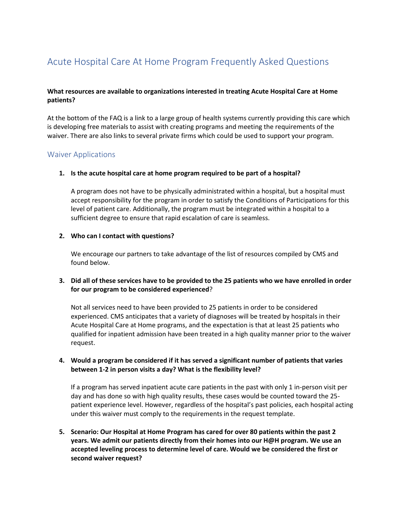# Acute Hospital Care At Home Program Frequently Asked Questions

### **What resources are available to organizations interested in treating Acute Hospital Care at Home patients?**

At the bottom of the FAQ is a link to a large group of health systems currently providing this care which is developing free materials to assist with creating programs and meeting the requirements of the waiver. There are also links to several private firms which could be used to support your program.

#### Waiver Applications

#### **1. Is the acute hospital care at home program required to be part of a hospital?**

A program does not have to be physically administrated within a hospital, but a hospital must accept responsibility for the program in order to satisfy the Conditions of Participations for this level of patient care. Additionally, the program must be integrated within a hospital to a sufficient degree to ensure that rapid escalation of care is seamless.

#### **2. Who can I contact with questions?**

We encourage our partners to take advantage of the list of resources compiled by CMS and found below.

#### **3. Did all of these services have to be provided to the 25 patients who we have enrolled in order for our program to be considered experienced**?

Not all services need to have been provided to 25 patients in order to be considered experienced. CMS anticipates that a variety of diagnoses will be treated by hospitals in their Acute Hospital Care at Home programs, and the expectation is that at least 25 patients who qualified for inpatient admission have been treated in a high quality manner prior to the waiver request.

#### **4. Would a program be considered if it has served a significant number of patients that varies between 1-2 in person visits a day? What is the flexibility level?**

If a program has served inpatient acute care patients in the past with only 1 in-person visit per day and has done so with high quality results, these cases would be counted toward the 25 patient experience level. However, regardless of the hospital's past policies, each hospital acting under this waiver must comply to the requirements in the request template.

**5. Scenario: Our Hospital at Home Program has cared for over 80 patients within the past 2 years. We admit our patients directly from their homes into our H@H program. We use an accepted leveling process to determine level of care. Would we be considered the first or second waiver request?**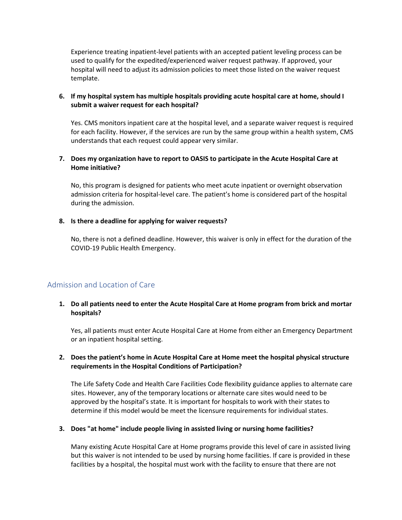Experience treating inpatient-level patients with an accepted patient leveling process can be used to qualify for the expedited/experienced waiver request pathway. If approved, your hospital will need to adjust its admission policies to meet those listed on the waiver request template.

#### **6. If my hospital system has multiple hospitals providing acute hospital care at home, should I submit a waiver request for each hospital?**

Yes. CMS monitors inpatient care at the hospital level, and a separate waiver request is required for each facility. However, if the services are run by the same group within a health system, CMS understands that each request could appear very similar.

#### **7. Does my organization have to report to OASIS to participate in the Acute Hospital Care at Home initiative?**

No, this program is designed for patients who meet acute inpatient or overnight observation admission criteria for hospital-level care. The patient's home is considered part of the hospital during the admission.

#### **8. Is there a deadline for applying for waiver requests?**

No, there is not a defined deadline. However, this waiver is only in effect for the duration of the COVID-19 Public Health Emergency.

# Admission and Location of Care

#### **1. Do all patients need to enter the Acute Hospital Care at Home program from brick and mortar hospitals?**

Yes, all patients must enter Acute Hospital Care at Home from either an Emergency Department or an inpatient hospital setting.

#### **2. Does the patient's home in Acute Hospital Care at Home meet the hospital physical structure requirements in the Hospital Conditions of Participation?**

The Life Safety Code and Health Care Facilities Code flexibility guidance applies to alternate care sites. However, any of the temporary locations or alternate care sites would need to be approved by the hospital's state. It is important for hospitals to work with their states to determine if this model would be meet the licensure requirements for individual states.

#### **3. Does "at home" include people living in assisted living or nursing home facilities?**

Many existing Acute Hospital Care at Home programs provide this level of care in assisted living but this waiver is not intended to be used by nursing home facilities. If care is provided in these facilities by a hospital, the hospital must work with the facility to ensure that there are not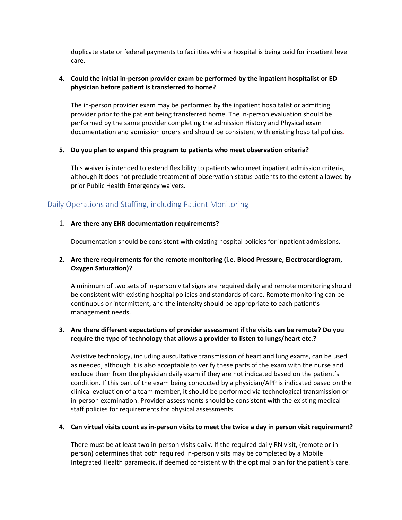duplicate state or federal payments to facilities while a hospital is being paid for inpatient level care.

#### **4. Could the initial in-person provider exam be performed by the inpatient hospitalist or ED physician before patient is transferred to home?**

The in-person provider exam may be performed by the inpatient hospitalist or admitting provider prior to the patient being transferred home. The in-person evaluation should be performed by the same provider completing the admission History and Physical exam documentation and admission orders and should be consistent with existing hospital policies.

#### **5. Do you plan to expand this program to patients who meet observation criteria?**

This waiver is intended to extend flexibility to patients who meet inpatient admission criteria, although it does not preclude treatment of observation status patients to the extent allowed by prior Public Health Emergency waivers.

# Daily Operations and Staffing, including Patient Monitoring

#### 1. **Are there any EHR documentation requirements?**

Documentation should be consistent with existing hospital policies for inpatient admissions.

### **2. Are there requirements for the remote monitoring (i.e. Blood Pressure, Electrocardiogram, Oxygen Saturation)?**

A minimum of two sets of in-person vital signs are required daily and remote monitoring should be consistent with existing hospital policies and standards of care. Remote monitoring can be continuous or intermittent, and the intensity should be appropriate to each patient's management needs.

## **3. Are there different expectations of provider assessment if the visits can be remote? Do you require the type of technology that allows a provider to listen to lungs/heart etc.?**

Assistive technology, including auscultative transmission of heart and lung exams, can be used as needed, although it is also acceptable to verify these parts of the exam with the nurse and exclude them from the physician daily exam if they are not indicated based on the patient's condition. If this part of the exam being conducted by a physician/APP is indicated based on the clinical evaluation of a team member, it should be performed via technological transmission or in-person examination. Provider assessments should be consistent with the existing medical staff policies for requirements for physical assessments.

#### **4. Can virtual visits count as in-person visits to meet the twice a day in person visit requirement?**

There must be at least two in-person visits daily. If the required daily RN visit, (remote or inperson) determines that both required in-person visits may be completed by a Mobile Integrated Health paramedic, if deemed consistent with the optimal plan for the patient's care.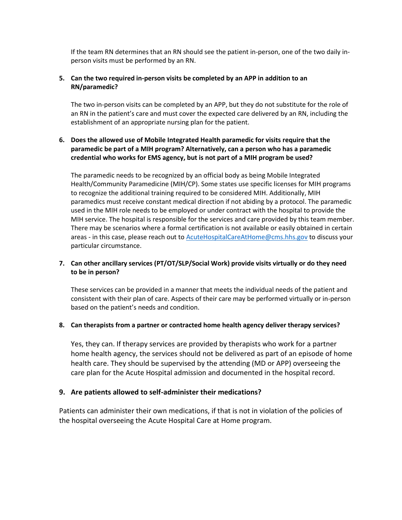If the team RN determines that an RN should see the patient in-person, one of the two daily inperson visits must be performed by an RN.

#### **5. Can the two required in-person visits be completed by an APP in addition to an RN/paramedic?**

The two in-person visits can be completed by an APP, but they do not substitute for the role of an RN in the patient's care and must cover the expected care delivered by an RN, including the establishment of an appropriate nursing plan for the patient.

## **6. Does the allowed use of Mobile Integrated Health paramedic for visits require that the paramedic be part of a MIH program? Alternatively, can a person who has a paramedic credential who works for EMS agency, but is not part of a MIH program be used?**

The paramedic needs to be recognized by an official body as being Mobile Integrated Health/Community Paramedicine (MIH/CP). Some states use specific licenses for MIH programs to recognize the additional training required to be considered MIH. Additionally, MIH paramedics must receive constant medical direction if not abiding by a protocol. The paramedic used in the MIH role needs to be employed or under contract with the hospital to provide the MIH service. The hospital is responsible for the services and care provided by this team member. There may be scenarios where a formal certification is not available or easily obtained in certain areas - in this case, please reach out to **AcuteHospitalCareAtHome@cms.hhs.gov** to discuss your particular circumstance.

## **7. Can other ancillary services (PT/OT/SLP/Social Work) provide visits virtually or do they need to be in person?**

These services can be provided in a manner that meets the individual needs of the patient and consistent with their plan of care. Aspects of their care may be performed virtually or in-person based on the patient's needs and condition.

#### **8. Can therapists from a partner or contracted home health agency deliver therapy services?**

Yes, they can. If therapy services are provided by therapists who work for a partner home health agency, the services should not be delivered as part of an episode of home health care. They should be supervised by the attending (MD or APP) overseeing the care plan for the Acute Hospital admission and documented in the hospital record.

#### **9. Are patients allowed to self-administer their medications?**

Patients can administer their own medications, if that is not in violation of the policies of the hospital overseeing the Acute Hospital Care at Home program.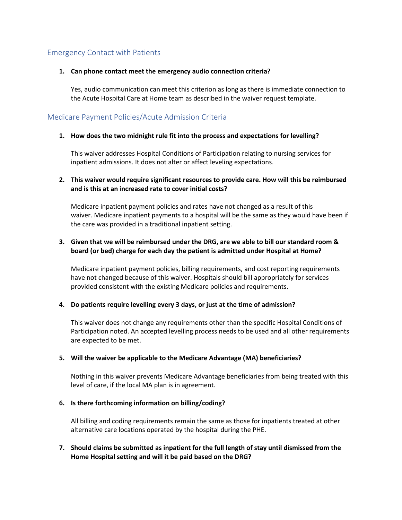# Emergency Contact with Patients

#### **1. Can phone contact meet the emergency audio connection criteria?**

Yes, audio communication can meet this criterion as long as there is immediate connection to the Acute Hospital Care at Home team as described in the waiver request template.

# Medicare Payment Policies/Acute Admission Criteria

#### **1. How does the two midnight rule fit into the process and expectations for levelling?**

This waiver addresses Hospital Conditions of Participation relating to nursing services for inpatient admissions. It does not alter or affect leveling expectations.

#### **2. This waiver would require significant resources to provide care. How will this be reimbursed and is this at an increased rate to cover initial costs?**

Medicare inpatient payment policies and rates have not changed as a result of this waiver. Medicare inpatient payments to a hospital will be the same as they would have been if the care was provided in a traditional inpatient setting.

### **3. Given that we will be reimbursed under the DRG, are we able to bill our standard room & board (or bed) charge for each day the patient is admitted under Hospital at Home?**

Medicare inpatient payment policies, billing requirements, and cost reporting requirements have not changed because of this waiver. Hospitals should bill appropriately for services provided consistent with the existing Medicare policies and requirements.

#### **4. Do patients require levelling every 3 days, or just at the time of admission?**

This waiver does not change any requirements other than the specific Hospital Conditions of Participation noted. An accepted levelling process needs to be used and all other requirements are expected to be met.

#### **5. Will the waiver be applicable to the Medicare Advantage (MA) beneficiaries?**

Nothing in this waiver prevents Medicare Advantage beneficiaries from being treated with this level of care, if the local MA plan is in agreement.

#### **6. Is there forthcoming information on billing/coding?**

All billing and coding requirements remain the same as those for inpatients treated at other alternative care locations operated by the hospital during the PHE.

#### **7. Should claims be submitted as inpatient for the full length of stay until dismissed from the Home Hospital setting and will it be paid based on the DRG?**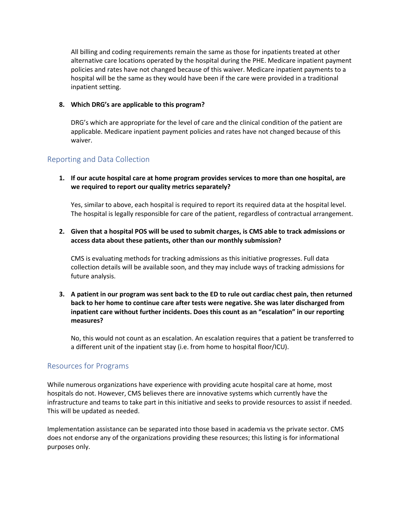All billing and coding requirements remain the same as those for inpatients treated at other alternative care locations operated by the hospital during the PHE. Medicare inpatient payment policies and rates have not changed because of this waiver. Medicare inpatient payments to a hospital will be the same as they would have been if the care were provided in a traditional inpatient setting.

#### **8. Which DRG's are applicable to this program?**

DRG's which are appropriate for the level of care and the clinical condition of the patient are applicable. Medicare inpatient payment policies and rates have not changed because of this waiver.

# Reporting and Data Collection

**1. If our acute hospital care at home program provides services to more than one hospital, are we required to report our quality metrics separately?**

Yes, similar to above, each hospital is required to report its required data at the hospital level. The hospital is legally responsible for care of the patient, regardless of contractual arrangement.

### **2. Given that a hospital POS will be used to submit charges, is CMS able to track admissions or access data about these patients, other than our monthly submission?**

CMS is evaluating methods for tracking admissions as this initiative progresses. Full data collection details will be available soon, and they may include ways of tracking admissions for future analysis.

## **3. A patient in our program was sent back to the ED to rule out cardiac chest pain, then returned back to her home to continue care after tests were negative. She was later discharged from inpatient care without further incidents. Does this count as an "escalation" in our reporting measures?**

No, this would not count as an escalation. An escalation requires that a patient be transferred to a different unit of the inpatient stay (i.e. from home to hospital floor/ICU).

# Resources for Programs

While numerous organizations have experience with providing acute hospital care at home, most hospitals do not. However, CMS believes there are innovative systems which currently have the infrastructure and teams to take part in this initiative and seeks to provide resources to assist if needed. This will be updated as needed.

Implementation assistance can be separated into those based in academia vs the private sector. CMS does not endorse any of the organizations providing these resources; this listing is for informational purposes only.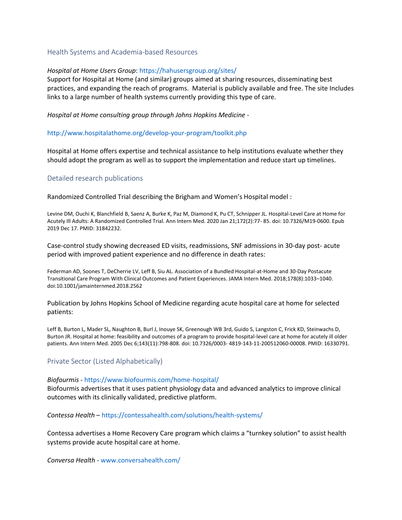#### Health Systems and Academia-based Resources

#### *Hospital at Home Users Group*: https://hahusersgroup.org/sites/

Support for Hospital at Home (and similar) groups aimed at sharing resources, disseminating best practices, and expanding the reach of programs. Material is publicly available and free. The site Includes links to a large number of health systems currently providing this type of care.

*Hospital at Home consulting group through Johns Hopkins Medicine* -

#### http://www.hospitalathome.org/develop-your-program/toolkit.php

Hospital at Home offers expertise and technical assistance to help institutions evaluate whether they should adopt the program as well as to support the implementation and reduce start up timelines.

#### Detailed research publications

Randomized Controlled Trial describing the Brigham and Women's Hospital model :

Levine DM, Ouchi K, Blanchfield B, Saenz A, Burke K, Paz M, Diamond K, Pu CT, Schnipper JL. Hospital-Level Care at Home for Acutely Ill Adults: A Randomized Controlled Trial. Ann Intern Med. 2020 Jan 21;172(2):77- 85. doi: 10.7326/M19-0600. Epub 2019 Dec 17. PMID: 31842232.

Case-control study showing decreased ED visits, readmissions, SNF admissions in 30-day post- acute period with improved patient experience and no difference in death rates:

Federman AD, Soones T, DeCherrie LV, Leff B, Siu AL. Association of a Bundled Hospital-at-Home and 30-Day Postacute Transitional Care Program With Clinical Outcomes and Patient Experiences. JAMA Intern Med. 2018;178(8):1033–1040. doi:10.1001/jamainternmed.2018.2562

Publication by Johns Hopkins School of Medicine regarding acute hospital care at home for selected patients:

Leff B, Burton L, Mader SL, Naughton B, Burl J, Inouye SK, Greenough WB 3rd, Guido S, Langston C, Frick KD, Steinwachs D, Burton JR. Hospital at home: feasibility and outcomes of a program to provide hospital-level care at home for acutely ill older patients. Ann Intern Med. 2005 Dec 6;143(11):798-808. doi: 10.7326/0003- 4819-143-11-200512060-00008. PMID: 16330791.

#### Private Sector (Listed Alphabetically)

#### *Biofourmis* - https://www.biofourmis.com/home-hospital/

Biofourmis advertises that it uses patient physiology data and advanced analytics to improve clinical outcomes with its clinically validated, predictive platform.

*Contessa Health* – https://contessahealth.com/solutions/health-systems/

Contessa advertises a Home Recovery Care program which claims a "turnkey solution" to assist health systems provide acute hospital care at home.

*Conversa Health* - [www.conversahealth.com/](http://www.conversahealth.com/)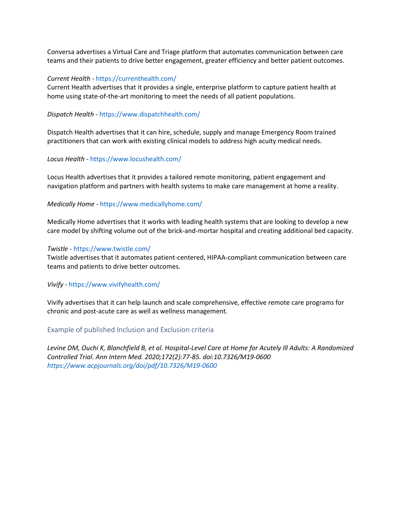Conversa advertises a Virtual Care and Triage platform that automates communication between care teams and their patients to drive better engagement, greater efficiency and better patient outcomes.

#### *Current Health* - https://currenthealth.com/

Current Health advertises that it provides a single, enterprise platform to capture patient health at home using state-of-the-art monitoring to meet the needs of all patient populations.

#### *Dispatch Health -* https://www.dispatchhealth.com/

Dispatch Health advertises that it can hire, schedule, supply and manage Emergency Room trained practitioners that can work with existing clinical models to address high acuity medical needs.

#### *Locus Health -* https://www.locushealth.com/

Locus Health advertises that it provides a tailored remote monitoring, patient engagement and navigation platform and partners with health systems to make care management at home a reality.

#### *Medically Home* - https://www.medicallyhome.com/

Medically Home advertises that it works with leading health systems that are looking to develop a new care model by shifting volume out of the brick-and-mortar hospital and creating additional bed capacity.

#### *Twistle* - https://www.twistle.com/

Twistle advertises that it automates patient-centered, HIPAA-compliant communication between care teams and patients to drive better outcomes.

#### *Vivify* - https://www.vivifyhealth.com/

Vivify advertises that it can help launch and scale comprehensive, effective remote care programs for chronic and post-acute care as well as wellness management.

#### Example of published Inclusion and Exclusion criteria

*Levine DM, Ouchi K, Blanchfield B, et al. Hospital-Level Care at Home for Acutely Ill Adults: A Randomized Controlled Trial. Ann Intern Med. 2020;172(2):77-85. doi:10.7326/M19-0600 https://www.acpjournals.org/doi/pdf/10.7326/M19-0600*